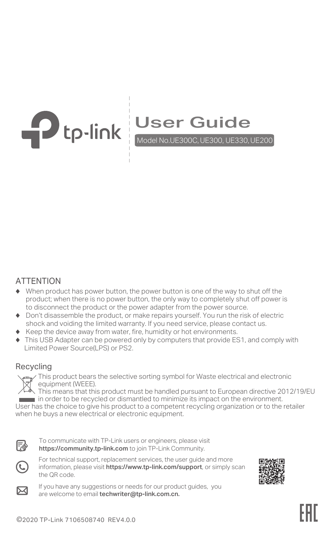

# User Guide<br>Model No.UE300C, UE300, UE330, UE200

## ATTENTION

- ♦ When product has power button, the power button is one of the way to shut off the product; when there is no power button, the only way to completely shut off power is to disconnect the product or the power adapter from the power source.
- ♦ Don't disassemble the product, or make repairs yourself. You run the risk of electric shock and voiding the limited warranty. If you need service, please contact us.
- ♦ Keep the device away from water, fire, humidity or hot environments.
- This USB Adapter can be powered only by computers that provide ES1, and comply with Limited Power Source(LPS) or PS2.

#### Recycling



This product bears the selective sorting symbol for Waste electrical and electronic equipment (WEEE).

This means that this product must be handled pursuant to European directive 2012/19/EU

in order to be recycled or dismantled to minimize its impact on the environment. User has the choice to give his product to a competent recycling organization or to the retailer when he buys a new electrical or electronic equipment.



To communicate with TP-Link users or engineers, please visit https://community.tp-link.com to join TP-Link Community.



For technical support, replacement services, the user guide and more information, please visit https://www.tp-link.com/support, or simply scan the QR code.





If you have any suggestions or needs for our product guides, you are welcome to email techwriter@tp-link.com.cn.